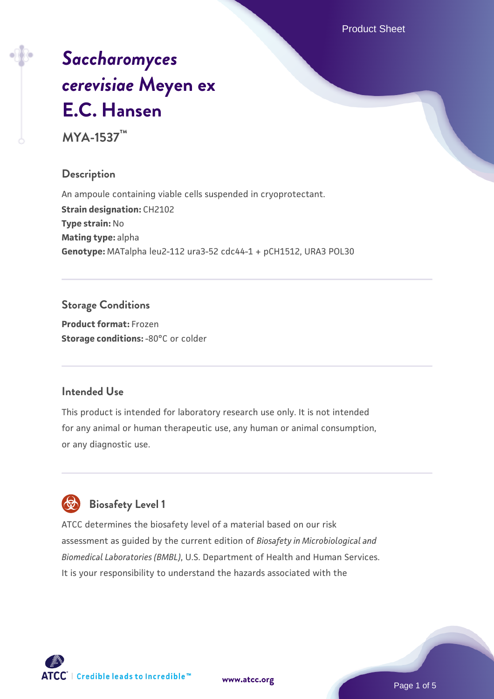Product Sheet

# *[Saccharomyces](https://www.atcc.org/products/mya-1537) [cerevisiae](https://www.atcc.org/products/mya-1537)* **[Meyen ex](https://www.atcc.org/products/mya-1537) [E.C. Hansen](https://www.atcc.org/products/mya-1537)**

**MYA-1537™**

# **Description**

An ampoule containing viable cells suspended in cryoprotectant. **Strain designation:** CH2102 **Type strain:** No **Mating type:** alpha **Genotype:** MATalpha leu2-112 ura3-52 cdc44-1 + pCH1512, URA3 POL30

# **Storage Conditions**

**Product format:** Frozen **Storage conditions: -80°C or colder** 

# **Intended Use**

This product is intended for laboratory research use only. It is not intended for any animal or human therapeutic use, any human or animal consumption, or any diagnostic use.

# **Biosafety Level 1**

ATCC determines the biosafety level of a material based on our risk assessment as guided by the current edition of *Biosafety in Microbiological and Biomedical Laboratories (BMBL)*, U.S. Department of Health and Human Services. It is your responsibility to understand the hazards associated with the

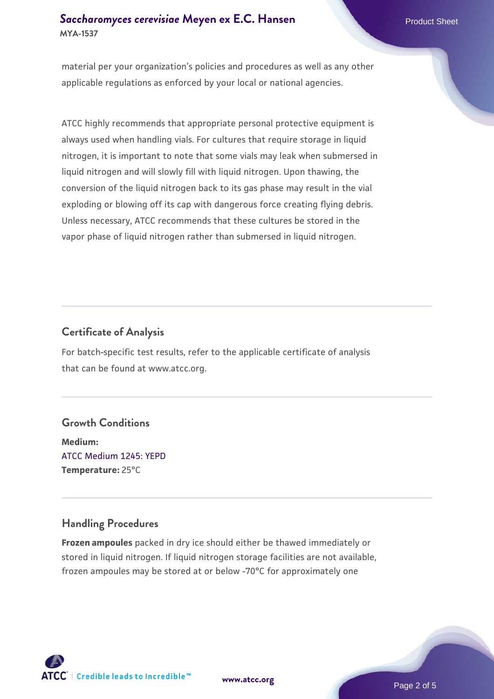#### **[Saccharomyces cerevisiae](https://www.atcc.org/products/mya-1537)** [Meyen ex E.C. Hansen](https://www.atcc.org/products/mya-1537) **MYA-1537**

material per your organization's policies and procedures as well as any other applicable regulations as enforced by your local or national agencies.

ATCC highly recommends that appropriate personal protective equipment is always used when handling vials. For cultures that require storage in liquid nitrogen, it is important to note that some vials may leak when submersed in liquid nitrogen and will slowly fill with liquid nitrogen. Upon thawing, the conversion of the liquid nitrogen back to its gas phase may result in the vial exploding or blowing off its cap with dangerous force creating flying debris. Unless necessary, ATCC recommends that these cultures be stored in the vapor phase of liquid nitrogen rather than submersed in liquid nitrogen.

#### **Certificate of Analysis**

For batch-specific test results, refer to the applicable certificate of analysis that can be found at www.atcc.org.

#### **Growth Conditions**

**Medium:**  [ATCC Medium 1245: YEPD](https://www.atcc.org/-/media/product-assets/documents/microbial-media-formulations/1/2/4/5/atcc-medium-1245.pdf?rev=705ca55d1b6f490a808a965d5c072196) **Temperature:** 25°C

#### **Handling Procedures**

**Frozen ampoules** packed in dry ice should either be thawed immediately or stored in liquid nitrogen. If liquid nitrogen storage facilities are not available, frozen ampoules may be stored at or below -70°C for approximately one

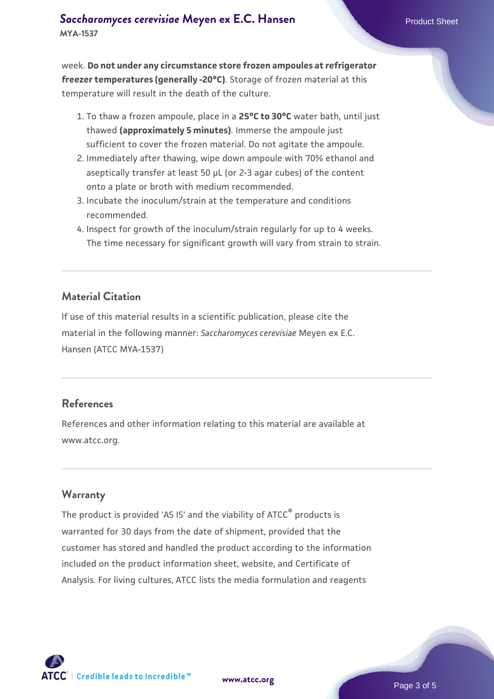week. **Do not under any circumstance store frozen ampoules at refrigerator freezer temperatures (generally -20°C)**. Storage of frozen material at this temperature will result in the death of the culture.

- 1. To thaw a frozen ampoule, place in a **25°C to 30°C** water bath, until just thawed **(approximately 5 minutes)**. Immerse the ampoule just sufficient to cover the frozen material. Do not agitate the ampoule.
- 2. Immediately after thawing, wipe down ampoule with 70% ethanol and aseptically transfer at least 50 µL (or 2-3 agar cubes) of the content onto a plate or broth with medium recommended.
- Incubate the inoculum/strain at the temperature and conditions 3. recommended.
- 4. Inspect for growth of the inoculum/strain regularly for up to 4 weeks. The time necessary for significant growth will vary from strain to strain.

#### **Material Citation**

If use of this material results in a scientific publication, please cite the material in the following manner: *Saccharomyces cerevisiae* Meyen ex E.C. Hansen (ATCC MYA-1537)

#### **References**

References and other information relating to this material are available at www.atcc.org.

#### **Warranty**

The product is provided 'AS IS' and the viability of ATCC® products is warranted for 30 days from the date of shipment, provided that the customer has stored and handled the product according to the information included on the product information sheet, website, and Certificate of Analysis. For living cultures, ATCC lists the media formulation and reagents

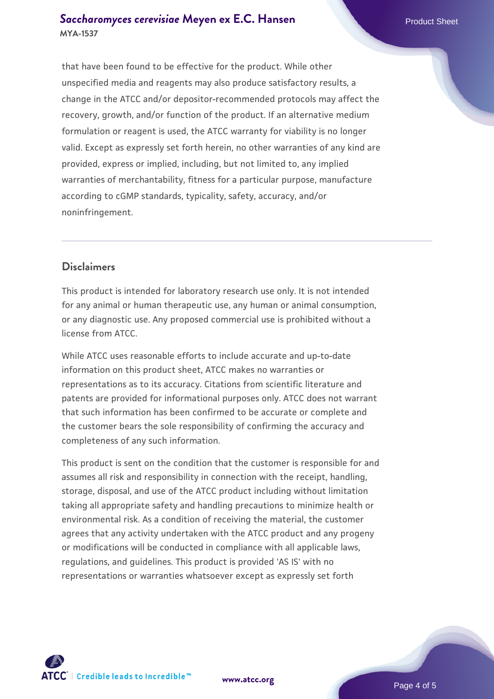#### **[Saccharomyces cerevisiae](https://www.atcc.org/products/mya-1537)** [Meyen ex E.C. Hansen](https://www.atcc.org/products/mya-1537) **MYA-1537**

that have been found to be effective for the product. While other unspecified media and reagents may also produce satisfactory results, a change in the ATCC and/or depositor-recommended protocols may affect the recovery, growth, and/or function of the product. If an alternative medium formulation or reagent is used, the ATCC warranty for viability is no longer valid. Except as expressly set forth herein, no other warranties of any kind are provided, express or implied, including, but not limited to, any implied warranties of merchantability, fitness for a particular purpose, manufacture according to cGMP standards, typicality, safety, accuracy, and/or noninfringement.

#### **Disclaimers**

This product is intended for laboratory research use only. It is not intended for any animal or human therapeutic use, any human or animal consumption, or any diagnostic use. Any proposed commercial use is prohibited without a license from ATCC.

While ATCC uses reasonable efforts to include accurate and up-to-date information on this product sheet, ATCC makes no warranties or representations as to its accuracy. Citations from scientific literature and patents are provided for informational purposes only. ATCC does not warrant that such information has been confirmed to be accurate or complete and the customer bears the sole responsibility of confirming the accuracy and completeness of any such information.

This product is sent on the condition that the customer is responsible for and assumes all risk and responsibility in connection with the receipt, handling, storage, disposal, and use of the ATCC product including without limitation taking all appropriate safety and handling precautions to minimize health or environmental risk. As a condition of receiving the material, the customer agrees that any activity undertaken with the ATCC product and any progeny or modifications will be conducted in compliance with all applicable laws, regulations, and guidelines. This product is provided 'AS IS' with no representations or warranties whatsoever except as expressly set forth



**[www.atcc.org](http://www.atcc.org)**

Page 4 of 5